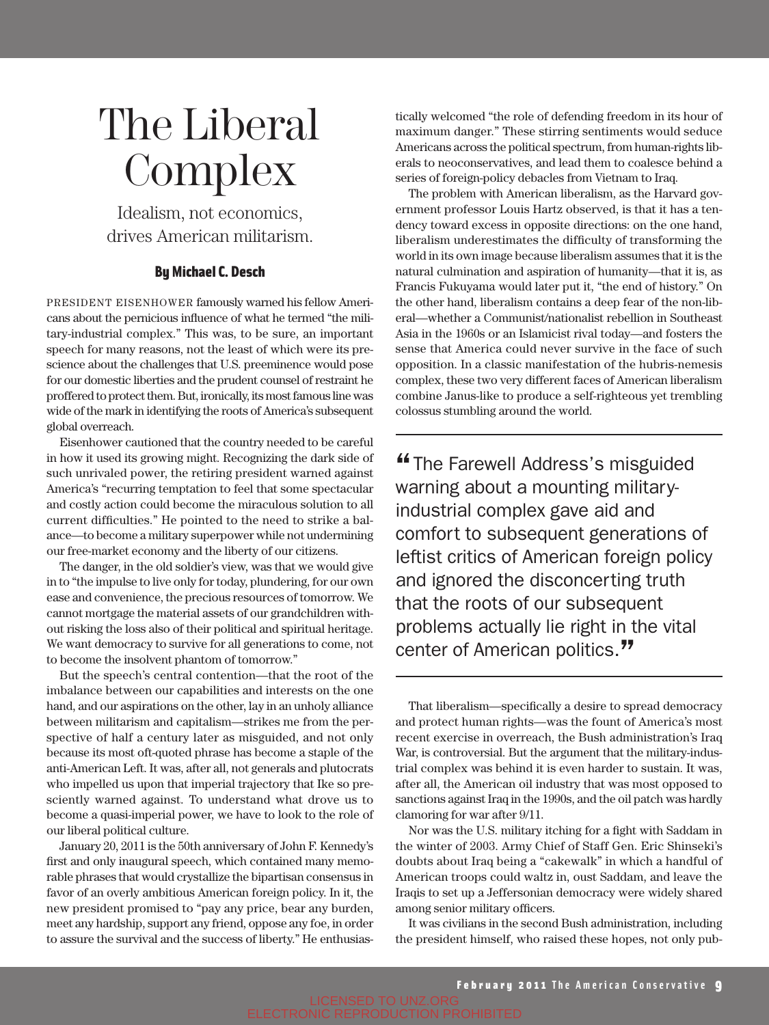## The Liberal **Complex**

Idealism, not economics, drives American militarism.

## By Michael C. Desch

PRESIDENT EISENHOWER famously warned his fellow Americans about the pernicious influence of what he termed "the military-industrial complex." This was, to be sure, an important speech for many reasons, not the least of which were its prescience about the challenges that U.S. preeminence would pose for our domestic liberties and the prudent counsel of restraint he proffered to protect them. But, ironically, its most famous line was wide of the mark in identifying the roots of America's subsequent global overreach.

Eisenhower cautioned that the country needed to be careful in how it used its growing might. Recognizing the dark side of such unrivaled power, the retiring president warned against America's "recurring temptation to feel that some spectacular and costly action could become the miraculous solution to all current difficulties." He pointed to the need to strike a balance—to become a military superpower while not undermining our free-market economy and the liberty of our citizens.

The danger, in the old soldier's view, was that we would give in to "the impulse to live only for today, plundering, for our own ease and convenience, the precious resources of tomorrow. We cannot mortgage the material assets of our grandchildren without risking the loss also of their political and spiritual heritage. We want democracy to survive for all generations to come, not to become the insolvent phantom of tomorrow."

But the speech's central contention—that the root of the imbalance between our capabilities and interests on the one hand, and our aspirations on the other, lay in an unholy alliance between militarism and capitalism—strikes me from the perspective of half a century later as misguided, and not only because its most oft-quoted phrase has become a staple of the anti-American Left. It was, after all, not generals and plutocrats who impelled us upon that imperial trajectory that Ike so presciently warned against. To understand what drove us to become a quasi-imperial power, we have to look to the role of our liberal political culture.

January 20, 2011 is the 50th anniversary of John F. Kennedy's first and only inaugural speech, which contained many memorable phrases that would crystallize the bipartisan consensus in favor of an overly ambitious American foreign policy. In it, the new president promised to "pay any price, bear any burden, meet any hardship, support any friend, oppose any foe, in order to assure the survival and the success of liberty." He enthusiastically welcomed "the role of defending freedom in its hour of maximum danger." These stirring sentiments would seduce Americans across the political spectrum, from human-rights liberals to neoconservatives, and lead them to coalesce behind a series of foreign-policy debacles from Vietnam to Iraq.

The problem with American liberalism, as the Harvard government professor Louis Hartz observed, is that it has a tendency toward excess in opposite directions: on the one hand, liberalism underestimates the difficulty of transforming the world in its own image because liberalism assumes that it is the natural culmination and aspiration of humanity—that it is, as Francis Fukuyama would later put it, "the end of history." On the other hand, liberalism contains a deep fear of the non-liberal—whether a Communist/nationalist rebellion in Southeast Asia in the 1960s or an Islamicist rival today—and fosters the sense that America could never survive in the face of such opposition. In a classic manifestation of the hubris-nemesis complex, these two very different faces of American liberalism combine Janus-like to produce a self-righteous yet trembling colossus stumbling around the world.

"The Farewell Address's misguided warning about a mounting militaryindustrial complex gave aid and comfort to subsequent generations of leftist critics of American foreign policy and ignored the disconcerting truth that the roots of our subsequent problems actually lie right in the vital center of American politics."

That liberalism—specifically a desire to spread democracy and protect human rights—was the fount of America's most recent exercise in overreach, the Bush administration's Iraq War, is controversial. But the argument that the military-industrial complex was behind it is even harder to sustain. It was, after all, the American oil industry that was most opposed to sanctions against Iraq in the 1990s, and the oil patch was hardly clamoring for war after 9/11.

Nor was the U.S. military itching for a fight with Saddam in the winter of 2003. Army Chief of Staff Gen. Eric Shinseki's doubts about Iraq being a "cakewalk" in which a handful of American troops could waltz in, oust Saddam, and leave the Iraqis to set up a Jeffersonian democracy were widely shared among senior military officers.

It was civilians in the second Bush administration, including the president himself, who raised these hopes, not only pub